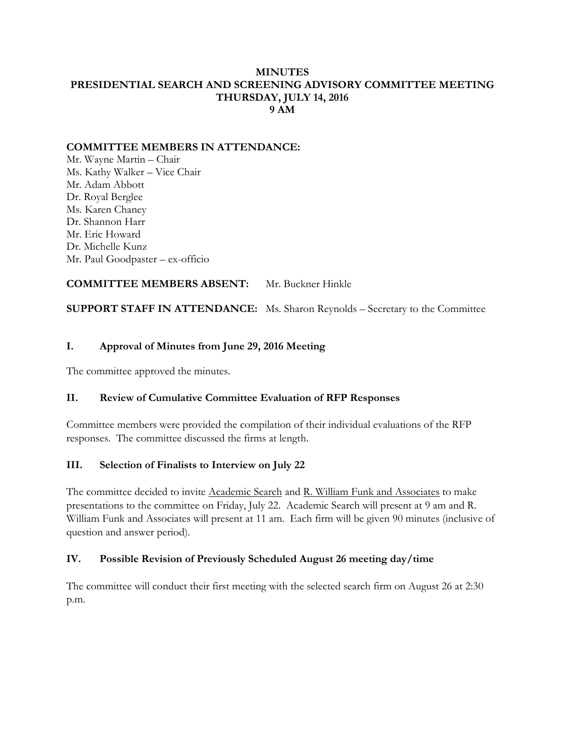#### **MINUTES PRESIDENTIAL SEARCH AND SCREENING ADVISORY COMMITTEE MEETING THURSDAY, JULY 14, 2016 9 AM**

## **COMMITTEE MEMBERS IN ATTENDANCE:**

Mr. Wayne Martin – Chair Ms. Kathy Walker – Vice Chair Mr. Adam Abbott Dr. Royal Berglee Ms. Karen Chaney Dr. Shannon Harr Mr. Eric Howard Dr. Michelle Kunz Mr. Paul Goodpaster – ex-officio

**COMMITTEE MEMBERS ABSENT:** Mr. Buckner Hinkle

**SUPPORT STAFF IN ATTENDANCE:** Ms. Sharon Reynolds – Secretary to the Committee

# **I. Approval of Minutes from June 29, 2016 Meeting**

The committee approved the minutes.

#### **II. Review of Cumulative Committee Evaluation of RFP Responses**

Committee members were provided the compilation of their individual evaluations of the RFP responses. The committee discussed the firms at length.

#### **III. Selection of Finalists to Interview on July 22**

The committee decided to invite Academic Search and R. William Funk and Associates to make presentations to the committee on Friday, July 22. Academic Search will present at 9 am and R. William Funk and Associates will present at 11 am. Each firm will be given 90 minutes (inclusive of question and answer period).

#### **IV. Possible Revision of Previously Scheduled August 26 meeting day/time**

The committee will conduct their first meeting with the selected search firm on August 26 at 2:30 p.m.